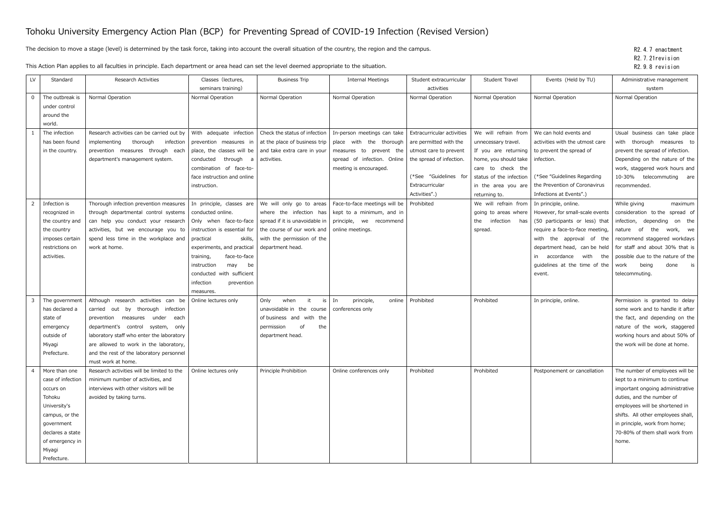## Tohoku University Emergency Action Plan (BCP) for Preventing Spread of COVID-19 Infection (Revised Version)

The decision to move a stage (level) is determined by the task force, taking into account the overall situation of the country, the region and the campus.

This Action Plan applies to all faculties in principle. Each department or area head can set the level deemed appropriate to the situation.

| LV             | Standard                       | Research Activities                        | Classes (lectures,           | <b>Business Trip</b>                                           | <b>Internal Meetings</b>                                  | Student extracurricular    | Student Travel          | Events (Held by TU)             | Administrative management                                            |
|----------------|--------------------------------|--------------------------------------------|------------------------------|----------------------------------------------------------------|-----------------------------------------------------------|----------------------------|-------------------------|---------------------------------|----------------------------------------------------------------------|
|                |                                |                                            | seminars training)           |                                                                |                                                           | activities                 |                         |                                 | system                                                               |
| $\Omega$       | The outbreak is                | Normal Operation                           | Normal Operation             | Normal Operation                                               | Normal Operation                                          | Normal Operation           | Normal Operation        | Normal Operation                | Normal Operation                                                     |
|                | under control                  |                                            |                              |                                                                |                                                           |                            |                         |                                 |                                                                      |
|                | around the                     |                                            |                              |                                                                |                                                           |                            |                         |                                 |                                                                      |
|                | world.                         |                                            |                              |                                                                |                                                           |                            |                         |                                 |                                                                      |
|                | The infection                  | Research activities can be carried out by  | With adequate infection      | Check the status of infection                                  | In-person meetings can take                               | Extracurricular activities | We will refrain from    | We can hold events and          | Usual business can take place                                        |
|                | has been found                 | implementing<br>thorough<br>infection      |                              | prevention measures in $\vert$ at the place of business trip   | place with the thorough                                   | are permitted with the     | unnecessary travel.     | activities with the utmost care | with thorough measures to                                            |
|                | in the country.                | prevention measures through each           |                              | place, the classes will be $\vert$ and take extra care in your | measures to prevent the                                   | utmost care to prevent     | If you are returning    | to prevent the spread of        | prevent the spread of infection.                                     |
|                |                                | department's management system.            | conducted through a          | activities.                                                    | spread of infection. Online                               | the spread of infection.   | home, you should take   | infection.                      | Depending on the nature of the                                       |
|                |                                |                                            | combination of face-to-      |                                                                | meeting is encouraged.                                    |                            | care to check the       |                                 | work, staggered work hours and                                       |
|                |                                |                                            | face instruction and online  |                                                                |                                                           | (*See "Guidelines for      | status of the infection | (*See "Guidelines Regarding     | 10-30% telecommuting are                                             |
|                |                                |                                            | instruction.                 |                                                                |                                                           | Extracurricular            | in the area you are     | the Prevention of Coronavirus   | recommended.                                                         |
|                |                                |                                            |                              |                                                                |                                                           | Activities".)              | returning to.           | Infections at Events".)         |                                                                      |
|                | Infection is                   | Thorough infection prevention measures     | In principle, classes are    | We will only go to areas                                       | Face-to-face meetings will be                             | Prohibited                 | We will refrain from    | In principle, online.           | While giving<br>maximum                                              |
|                | recognized in                  | through departmental control systems       | conducted online.            |                                                                | where the infection has $\vert$ kept to a minimum, and in |                            | going to areas where    | However, for small-scale events | consideration to the<br>spread of                                    |
|                | the country and                | can help you conduct your research         | Only when face-to-face       | spread if it is unavoidable in                                 | principle, we recommend                                   |                            | the infection<br>has    | (50 participants or less) that  | infection, depending<br>on the                                       |
|                | the country                    | activities, but we encourage you to        | instruction is essential for | the course of our work and                                     | online meetings.                                          |                            | spread.                 | require a face-to-face meeting, | of<br>the<br>nature<br>work, we                                      |
|                | imposes certain                | spend less time in the workplace and       | practical<br>skills,         | with the permission of the                                     |                                                           |                            |                         | with the approval of the        | recommend staggered workdays                                         |
|                | restrictions on                | work at home.                              | experiments, and practical   | department head.                                               |                                                           |                            |                         | department head, can be held    | for staff and about 30% that is                                      |
|                | activities.                    |                                            | training,<br>face-to-face    |                                                                |                                                           |                            |                         | in accordance<br>with the       | possible due to the nature of the                                    |
|                |                                |                                            | instruction<br>may<br>be     |                                                                |                                                           |                            |                         | guidelines at the time of the   | being<br>done is<br>work                                             |
|                |                                |                                            | conducted with sufficient    |                                                                |                                                           |                            |                         | event.                          | telecommuting.                                                       |
|                |                                |                                            | infection<br>prevention      |                                                                |                                                           |                            |                         |                                 |                                                                      |
|                |                                |                                            | measures.                    |                                                                |                                                           |                            |                         |                                 |                                                                      |
|                | The government                 | Although research activities can be        | Online lectures only         | when<br>Only                                                   | $is$ In<br>principle,<br>online                           | Prohibited                 | Prohibited              | In principle, online.           | Permission is granted to delay                                       |
|                | has declared a                 | carried out by<br>thorough infection       |                              | unavoidable in the course   conferences only                   |                                                           |                            |                         |                                 | some work and to handle it after                                     |
|                | state of                       | prevention measures under<br>each          |                              | of business and with the                                       |                                                           |                            |                         |                                 | the fact, and depending on the                                       |
|                | emergency                      | department's control system,<br>only       |                              | 0f<br>permission<br>the                                        |                                                           |                            |                         |                                 | nature of the work, staggered                                        |
|                | outside of                     | laboratory staff who enter the laboratory  |                              | department head.                                               |                                                           |                            |                         |                                 | working hours and about 50% of                                       |
|                | Miyagi                         | are allowed to work in the laboratory,     |                              |                                                                |                                                           |                            |                         |                                 | the work will be done at home.                                       |
|                | Prefecture.                    | and the rest of the laboratory personnel   |                              |                                                                |                                                           |                            |                         |                                 |                                                                      |
|                |                                | must work at home.                         |                              |                                                                |                                                           |                            |                         |                                 |                                                                      |
| $\overline{4}$ | More than one                  | Research activities will be limited to the | Online lectures only         | Principle Prohibition                                          | Online conferences only                                   | Prohibited                 | Prohibited              | Postponement or cancellation    | The number of employees will be                                      |
|                | case of infection              | minimum number of activities, and          |                              |                                                                |                                                           |                            |                         |                                 | kept to a minimum to continue                                        |
|                | occurs on                      | interviews with other visitors will be     |                              |                                                                |                                                           |                            |                         |                                 | important ongoing administrative                                     |
|                | Tohoku                         | avoided by taking turns.                   |                              |                                                                |                                                           |                            |                         |                                 | duties, and the number of                                            |
|                | University's                   |                                            |                              |                                                                |                                                           |                            |                         |                                 | employees will be shortened in<br>shifts. All other employees shall, |
|                | campus, or the                 |                                            |                              |                                                                |                                                           |                            |                         |                                 | in principle, work from home;                                        |
|                | government<br>declares a state |                                            |                              |                                                                |                                                           |                            |                         |                                 | 70-80% of them shall work from                                       |
|                | of emergency in                |                                            |                              |                                                                |                                                           |                            |                         |                                 | home.                                                                |
|                |                                |                                            |                              |                                                                |                                                           |                            |                         |                                 |                                                                      |
|                |                                |                                            |                              |                                                                |                                                           |                            |                         |                                 |                                                                      |
|                | Miyagi<br>Prefecture.          |                                            |                              |                                                                |                                                           |                            |                         |                                 |                                                                      |

R2.4.7 enactment R2.7.21revision R2.9.8 revision